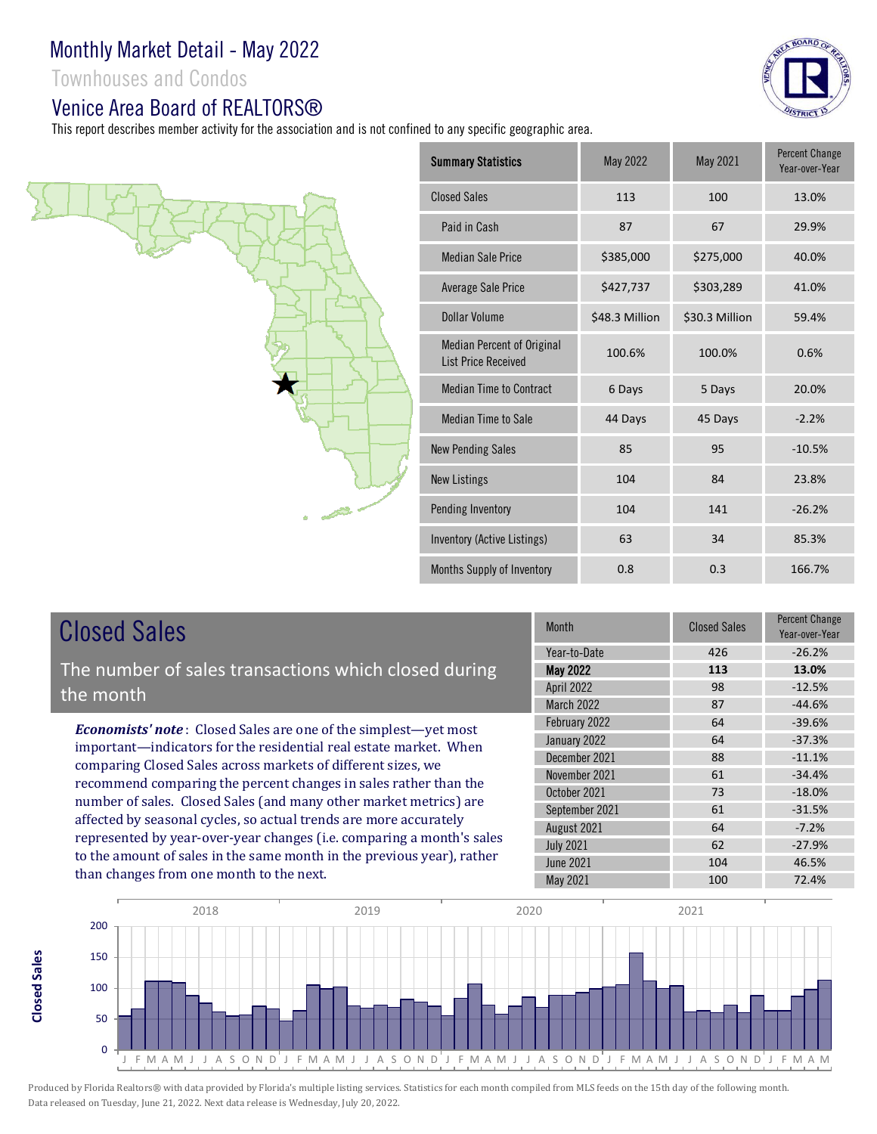Townhouses and Condos

### Venice Area Board of RFAI TORS®

This report describes member activity for the association and is not confined to any specific geographic area.





# Closed Sales

**Closed SalesClosed Sales**  The number of sales transactions which closed during the month

*Economists' note* : Closed Sales are one of the simplest—yet most important—indicators for the residential real estate market. When comparing Closed Sales across markets of different sizes, we recommend comparing the percent changes in sales rather than the number of sales. Closed Sales (and many other market metrics) are affected by seasonal cycles, so actual trends are more accurately represented by year-over-year changes (i.e. comparing a month's sales to the amount of sales in the same month in the previous year), rather than changes from one month to the next.

| <b>Month</b>      | <b>Closed Sales</b> | Percent Change<br>Year-over-Year |
|-------------------|---------------------|----------------------------------|
| Year-to-Date      | 426                 | $-26.2%$                         |
| <b>May 2022</b>   | 113                 | 13.0%                            |
| <b>April 2022</b> | 98                  | $-12.5%$                         |
| March 2022        | 87                  | $-44.6%$                         |
| February 2022     | 64                  | $-39.6%$                         |
| January 2022      | 64                  | $-37.3%$                         |
| December 2021     | 88                  | $-11.1%$                         |
| November 2021     | 61                  | $-34.4%$                         |
| October 2021      | 73                  | $-18.0%$                         |
| September 2021    | 61                  | $-31.5%$                         |
| August 2021       | 64                  | $-7.2%$                          |
| <b>July 2021</b>  | 62                  | $-27.9%$                         |
| <b>June 2021</b>  | 104                 | 46.5%                            |
| <b>May 2021</b>   | 100                 | 72.4%                            |

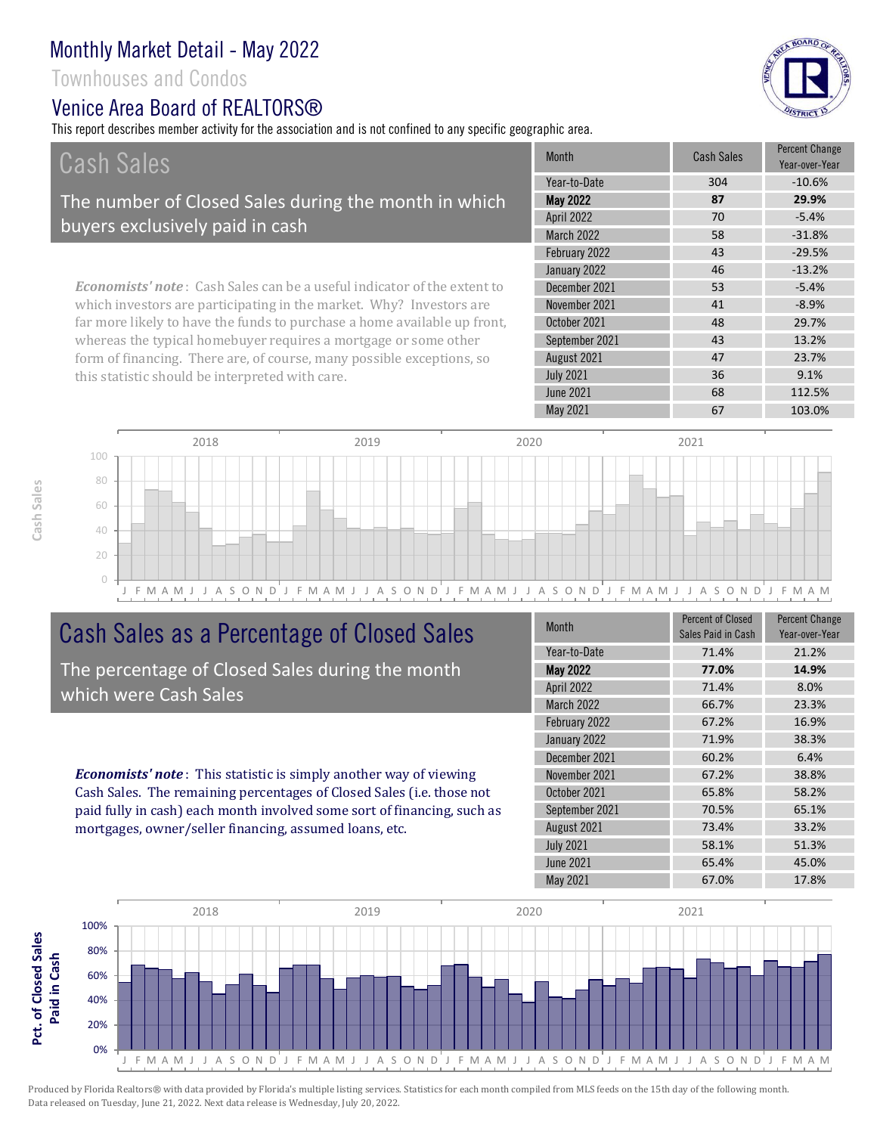Townhouses and Condos

# Venice Area Board of RFAI TORS®

This report describes member activity for the association and is not confined to any specific geographic area.



| Cash Sales                                                                     | <b>Month</b>      | <b>Cash Sales</b> | <b>Percent Change</b><br>Year-over-Year |
|--------------------------------------------------------------------------------|-------------------|-------------------|-----------------------------------------|
|                                                                                | Year-to-Date      | 304               | $-10.6%$                                |
| The number of Closed Sales during the month in which                           | <b>May 2022</b>   | 87                | 29.9%                                   |
| buyers exclusively paid in cash                                                | <b>April 2022</b> | 70                | $-5.4%$                                 |
|                                                                                | <b>March 2022</b> | 58                | $-31.8%$                                |
|                                                                                | February 2022     | 43                | $-29.5%$                                |
|                                                                                | January 2022      | 46                | $-13.2%$                                |
| <b>Economists' note:</b> Cash Sales can be a useful indicator of the extent to | December 2021     | 53                | $-5.4%$                                 |
| which investors are participating in the market. Why? Investors are            | November 2021     | 41                | $-8.9%$                                 |
| far more likely to have the funds to purchase a home available up front,       | October 2021      | 48                | 29.7%                                   |
| whereas the typical homebuyer requires a mortgage or some other                | September 2021    | 43                | 13.2%                                   |
| form of financing. There are, of course, many possible exceptions, so          | August 2021       | 47                | 23.7%                                   |
| this statistic should be interpreted with care.                                | <b>July 2021</b>  | 36                | 9.1%                                    |



# Cash Sales as a Percentage of Closed Sales

The percentage of Closed Sales during the month which were Cash Sales

*Economists' note* : This statistic is simply another way of viewing Cash Sales. The remaining percentages of Closed Sales (i.e. those not paid fully in cash) each month involved some sort of financing, such as mortgages, owner/seller financing, assumed loans, etc.

| <b>Month</b>     | <b>Percent of Closed</b><br>Sales Paid in Cash | <b>Percent Change</b><br>Year-over-Year |
|------------------|------------------------------------------------|-----------------------------------------|
| Year-to-Date     | 71.4%                                          | 21.2%                                   |
| <b>May 2022</b>  | 77.0%                                          | 14.9%                                   |
| April 2022       | 71.4%                                          | 8.0%                                    |
| March 2022       | 66.7%                                          | 23.3%                                   |
| February 2022    | 67.2%                                          | 16.9%                                   |
| January 2022     | 71.9%                                          | 38.3%                                   |
| December 2021    | 60.2%                                          | 6.4%                                    |
| November 2021    | 67.2%                                          | 38.8%                                   |
| October 2021     | 65.8%                                          | 58.2%                                   |
| September 2021   | 70.5%                                          | 65.1%                                   |
| August 2021      | 73.4%                                          | 33.2%                                   |
| <b>July 2021</b> | 58.1%                                          | 51.3%                                   |
| <b>June 2021</b> | 65.4%                                          | 45.0%                                   |
| May 2021         | 67.0%                                          | 17.8%                                   |

June 2021 68 112.5%

May 2021 67 103.0%

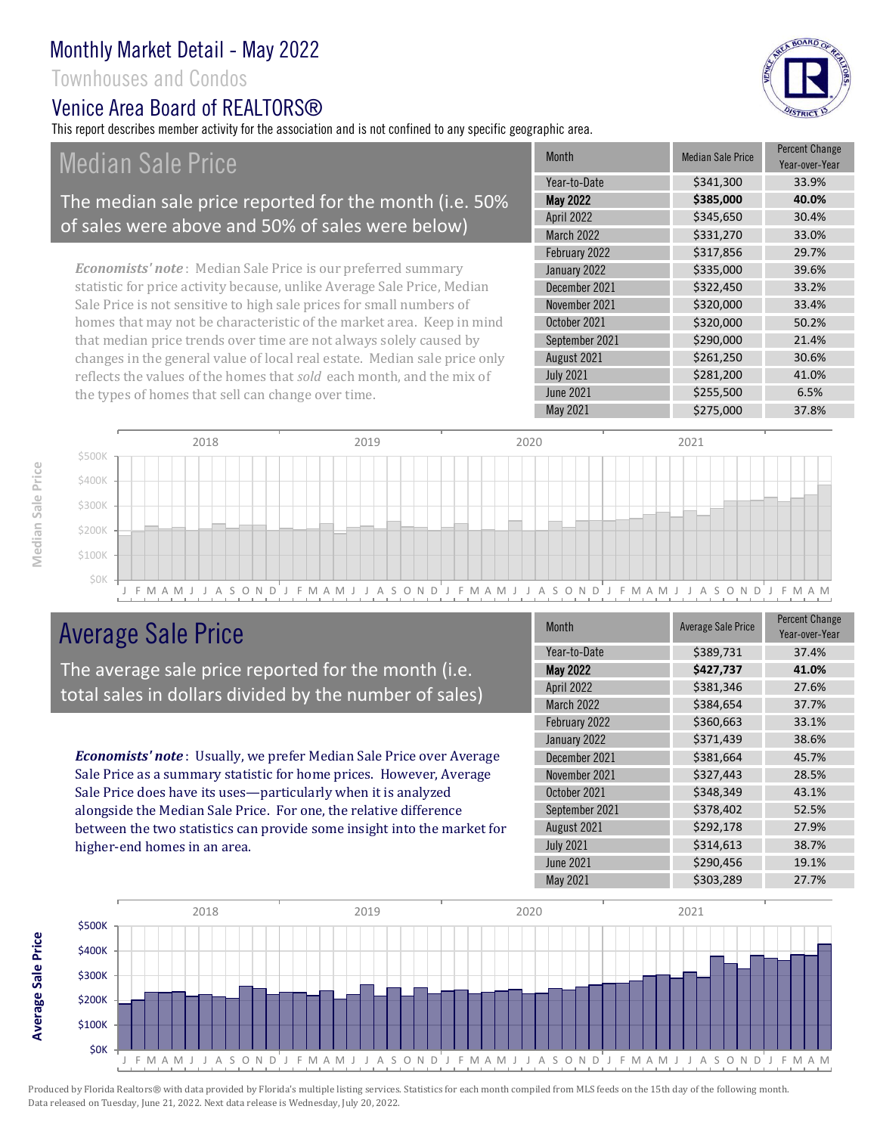Townhouses and Condos

# Venice Area Board of RFAI TORS®

This report describes member activity for the association and is not confined to any specific geographic area.

Median Sale Price

### The median sale price reported for the month (i.e. 50% of sales were above and 50% of sales were below)

*Economists' note* : Median Sale Price is our preferred summary statistic for price activity because, unlike Average Sale Price, Median Sale Price is not sensitive to high sale prices for small numbers of homes that may not be characteristic of the market area. Keep in mind that median price trends over time are not always solely caused by changes in the general value of local real estate. Median sale price only reflects the values of the homes that *sold* each month, and the mix of the types of homes that sell can change over time.

| <b>Month</b>     | <b>Median Sale Price</b> | <b>Percent Change</b><br>Year-over-Year |
|------------------|--------------------------|-----------------------------------------|
| Year-to-Date     | \$341,300                | 33.9%                                   |
| <b>May 2022</b>  | \$385,000                | 40.0%                                   |
| April 2022       | \$345,650                | 30.4%                                   |
| March 2022       | \$331,270                | 33.0%                                   |
| February 2022    | \$317,856                | 29.7%                                   |
| January 2022     | \$335,000                | 39.6%                                   |
| December 2021    | \$322,450                | 33.2%                                   |
| November 2021    | \$320,000                | 33.4%                                   |
| October 2021     | \$320,000                | 50.2%                                   |
| September 2021   | \$290,000                | 21.4%                                   |
| August 2021      | \$261,250                | 30.6%                                   |
| <b>July 2021</b> | \$281,200                | 41.0%                                   |
| <b>June 2021</b> | \$255,500                | 6.5%                                    |
| May 2021         | \$275,000                | 37.8%                                   |



# Average Sale Price

The average sale price reported for the month (i.e. total sales in dollars divided by the number of sales)

*Economists' note* : Usually, we prefer Median Sale Price over Average Sale Price as a summary statistic for home prices. However, Average Sale Price does have its uses—particularly when it is analyzed alongside the Median Sale Price. For one, the relative difference between the two statistics can provide some insight into the market for higher-end homes in an area.

| <b>Month</b>     | <b>Average Sale Price</b> | <b>Percent Change</b><br>Year-over-Year |
|------------------|---------------------------|-----------------------------------------|
| Year-to-Date     | \$389,731                 | 37.4%                                   |
| <b>May 2022</b>  | \$427,737                 | 41.0%                                   |
| April 2022       | \$381,346                 | 27.6%                                   |
| March 2022       | \$384,654                 | 37.7%                                   |
| February 2022    | \$360,663                 | 33.1%                                   |
| January 2022     | \$371,439                 | 38.6%                                   |
| December 2021    | \$381,664                 | 45.7%                                   |
| November 2021    | \$327,443                 | 28.5%                                   |
| October 2021     | \$348,349                 | 43.1%                                   |
| September 2021   | \$378,402                 | 52.5%                                   |
| August 2021      | \$292,178                 | 27.9%                                   |
| <b>July 2021</b> | \$314,613                 | 38.7%                                   |
| <b>June 2021</b> | \$290,456                 | 19.1%                                   |
| May 2021         | \$303,289                 | 27.7%                                   |





Median Sale Price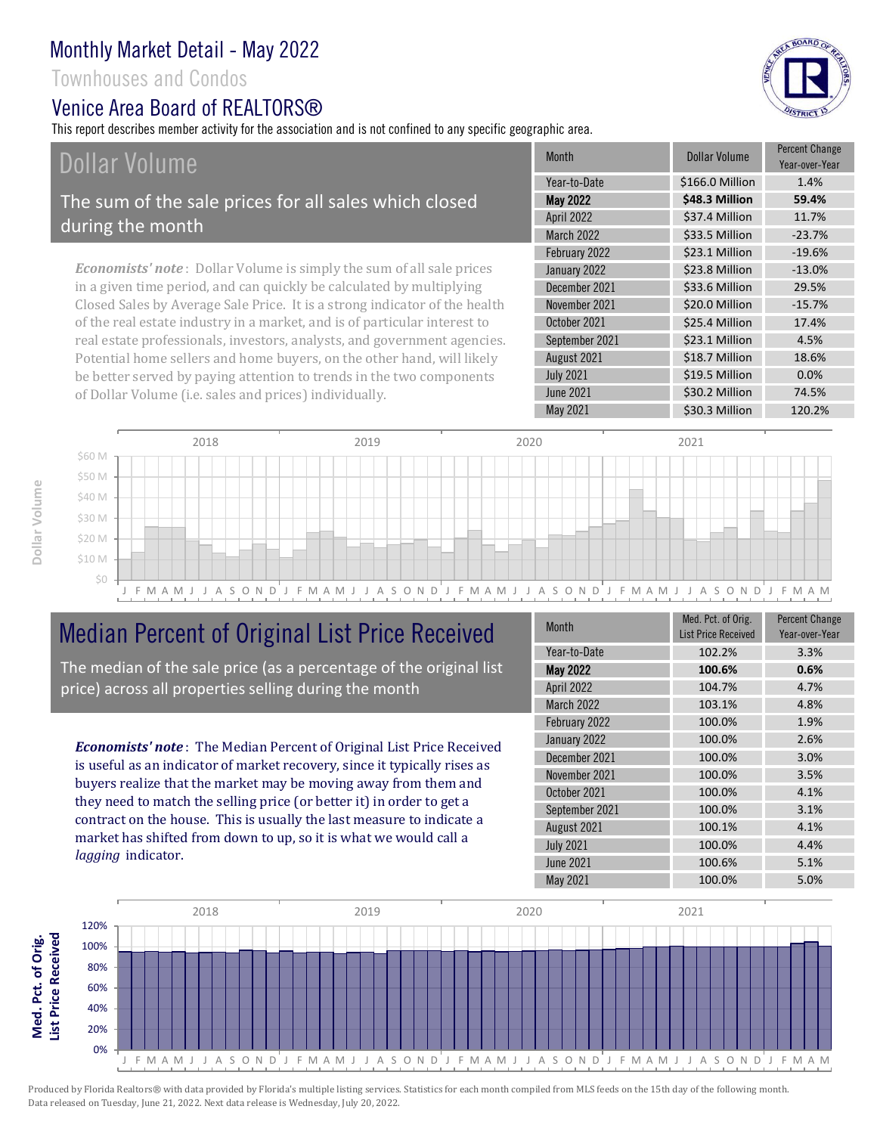Townhouses and Condos

### Venice Area Board of RFAI TORS®

This report describes member activity for the association and is not confined to any specific geographic area.

# Dollar Volume

The sum of the sale prices for all sales which closed during the month

*Economists' note* : Dollar Volume is simply the sum of all sale prices in a given time period, and can quickly be calculated by multiplying Closed Sales by Average Sale Price. It is a strong indicator of the health of the real estate industry in a market, and is of particular interest to real estate professionals, investors, analysts, and government agencies. Potential home sellers and home buyers, on the other hand, will likely be better served by paying attention to trends in the two components of Dollar Volume (i.e. sales and prices) individually.

| <b>Month</b>     | Dollar Volume   | <b>Percent Change</b><br>Year-over-Year |
|------------------|-----------------|-----------------------------------------|
| Year-to-Date     | \$166.0 Million | 1.4%                                    |
| <b>May 2022</b>  | \$48.3 Million  | 59.4%                                   |
| April 2022       | \$37.4 Million  | 11.7%                                   |
| March 2022       | \$33.5 Million  | $-23.7%$                                |
| February 2022    | \$23.1 Million  | $-19.6%$                                |
| January 2022     | \$23.8 Million  | $-13.0%$                                |
| December 2021    | \$33.6 Million  | 29.5%                                   |
| November 2021    | \$20.0 Million  | $-15.7%$                                |
| October 2021     | \$25.4 Million  | 17.4%                                   |
| September 2021   | \$23.1 Million  | 4.5%                                    |
| August 2021      | \$18.7 Million  | 18.6%                                   |
| <b>July 2021</b> | \$19.5 Million  | 0.0%                                    |
| <b>June 2021</b> | \$30.2 Million  | 74.5%                                   |
| May 2021         | \$30.3 Million  | 120.2%                                  |



# Median Percent of Original List Price Received

The median of the sale price (as a percentage of the original list price) across all properties selling during the month

*Economists' note* : The Median Percent of Original List Price Received is useful as an indicator of market recovery, since it typically rises as buyers realize that the market may be moving away from them and they need to match the selling price (or better it) in order to get a contract on the house. This is usually the last measure to indicate a market has shifted from down to up, so it is what we would call a *lagging* indicator.

| <b>Month</b>      | Med. Pct. of Orig.<br><b>List Price Received</b> | <b>Percent Change</b><br>Year-over-Year |
|-------------------|--------------------------------------------------|-----------------------------------------|
| Year-to-Date      | 102.2%                                           | 3.3%                                    |
| <b>May 2022</b>   | 100.6%                                           | 0.6%                                    |
| April 2022        | 104.7%                                           | 4.7%                                    |
| <b>March 2022</b> | 103.1%                                           | 4.8%                                    |
| February 2022     | 100.0%                                           | 1.9%                                    |
| January 2022      | 100.0%                                           | 2.6%                                    |
| December 2021     | 100.0%                                           | 3.0%                                    |
| November 2021     | 100.0%                                           | 3.5%                                    |
| October 2021      | 100.0%                                           | 4.1%                                    |
| September 2021    | 100.0%                                           | 3.1%                                    |
| August 2021       | 100.1%                                           | 4.1%                                    |
| <b>July 2021</b>  | 100.0%                                           | 4.4%                                    |
| <b>June 2021</b>  | 100.6%                                           | 5.1%                                    |
| May 2021          | 100.0%                                           | 5.0%                                    |





Produced by Florida Realtors® with data provided by Florida's multiple listing services. Statistics for each month compiled from MLS feeds on the 15th day of the following month. Data released on Tuesday, June 21, 2022. Next data release is Wednesday, July 20, 2022.

**Med. Pct. of Orig.**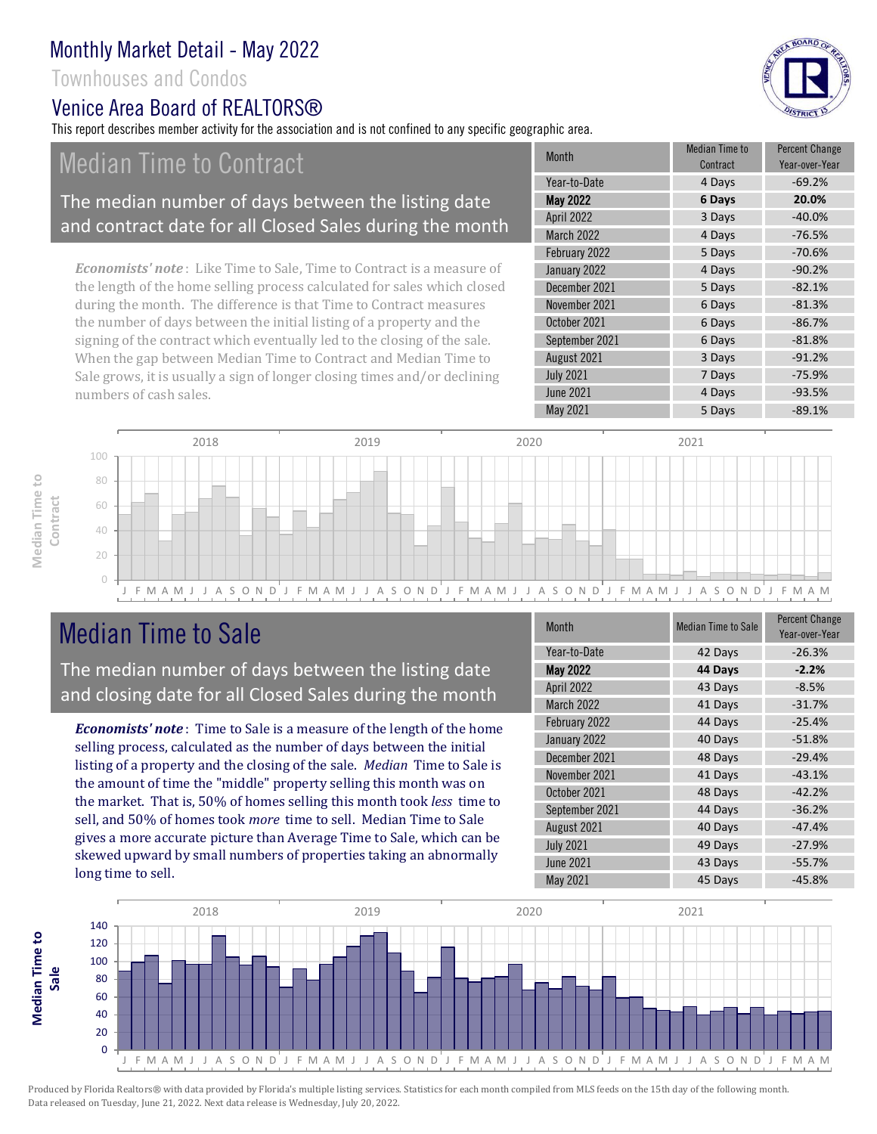### Townhouses and Condos

# Venice Area Board of RFAI TORS®

This report describes member activity for the association and is not confined to any specific geographic area.

# Median Time to Contract

### The median number of days between the listing date and contract date for all Closed Sales during the month

*Economists' note* : Like Time to Sale, Time to Contract is a measure of the length of the home selling process calculated for sales which closed during the month. The difference is that Time to Contract measures the number of days between the initial listing of a property and the signing of the contract which eventually led to the closing of the sale. When the gap between Median Time to Contract and Median Time to Sale grows, it is usually a sign of longer closing times and/or declining numbers of cash sales.

| <b>Month</b>     | <b>Median Time to</b><br>Contract | <b>Percent Change</b><br>Year-over-Year |
|------------------|-----------------------------------|-----------------------------------------|
| Year-to-Date     | 4 Days                            | $-69.2%$                                |
| <b>May 2022</b>  | 6 Days                            | 20.0%                                   |
| April 2022       | 3 Days                            | $-40.0%$                                |
| March 2022       | 4 Days                            | $-76.5%$                                |
| February 2022    | 5 Days                            | $-70.6%$                                |
| January 2022     | 4 Days                            | $-90.2%$                                |
| December 2021    | 5 Days                            | $-82.1%$                                |
| November 2021    | 6 Days                            | $-81.3%$                                |
| October 2021     | 6 Days                            | $-86.7%$                                |
| September 2021   | 6 Days                            | $-81.8%$                                |
| August 2021      | 3 Days                            | $-91.2%$                                |
| <b>July 2021</b> | 7 Days                            | $-75.9%$                                |
| <b>June 2021</b> | 4 Days                            | $-93.5%$                                |
| May 2021         | 5 Days                            | $-89.1%$                                |



# Median Time to Sale

**Median Time to Contract**

Median Time to

**Median Time to** 

The median number of days between the listing date and closing date for all Closed Sales during the month

*Economists' note* : Time to Sale is a measure of the length of the home selling process, calculated as the number of days between the initial listing of a property and the closing of the sale. *Median* Time to Sale is the amount of time the "middle" property selling this month was on the market. That is, 50% of homes selling this month took *less* time to sell, and 50% of homes took *more* time to sell. Median Time to Sale gives a more accurate picture than Average Time to Sale, which can be skewed upward by small numbers of properties taking an abnormally long time to sell.

| <b>Month</b>      | <b>Median Time to Sale</b> | <b>Percent Change</b><br>Year-over-Year |
|-------------------|----------------------------|-----------------------------------------|
| Year-to-Date      | 42 Days                    | $-26.3%$                                |
| <b>May 2022</b>   | 44 Days                    | $-2.2%$                                 |
| <b>April 2022</b> | 43 Days                    | $-8.5%$                                 |
| March 2022        | 41 Days                    | $-31.7%$                                |
| February 2022     | 44 Days                    | $-25.4%$                                |
| January 2022      | 40 Days                    | $-51.8%$                                |
| December 2021     | 48 Days                    | $-29.4%$                                |
| November 2021     | 41 Days                    | $-43.1%$                                |
| October 2021      | 48 Days                    | $-42.2%$                                |
| September 2021    | 44 Days                    | $-36.2%$                                |
| August 2021       | 40 Days                    | $-47.4%$                                |
| <b>July 2021</b>  | 49 Days                    | $-27.9%$                                |
| <b>June 2021</b>  | 43 Days                    | $-55.7%$                                |
| <b>May 2021</b>   | 45 Days                    | $-45.8%$                                |





BOARD OF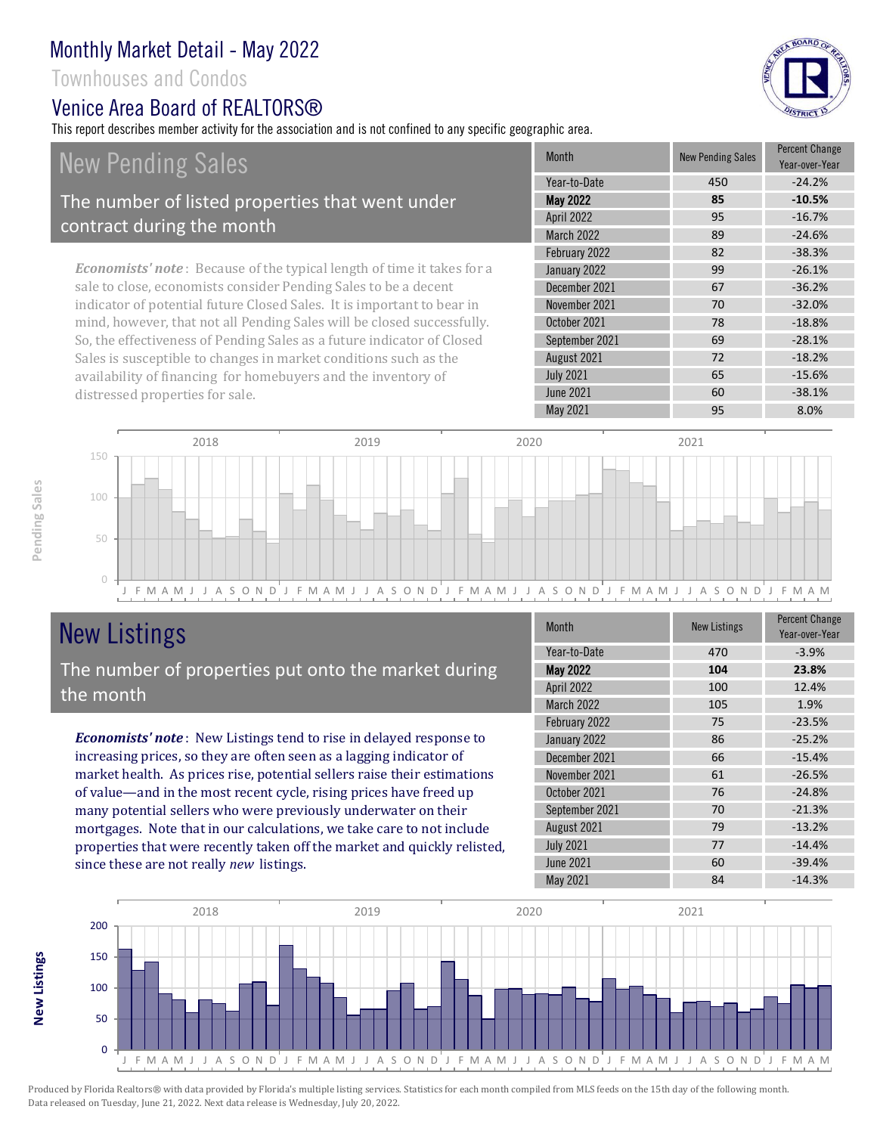Townhouses and Condos

### Venice Area Board of REALTORS®

This report describes member activity for the association and is not confined to any specific geographic area.

BOARD OF

# New Pending Sales

### The number of listed properties that went under contract during the month

*Economists' note* : Because of the typical length of time it takes for a sale to close, economists consider Pending Sales to be a decent indicator of potential future Closed Sales. It is important to bear in mind, however, that not all Pending Sales will be closed successfully. So, the effectiveness of Pending Sales as a future indicator of Closed Sales is susceptible to changes in market conditions such as the availability of financing for homebuyers and the inventory of distressed properties for sale.

|  | <b>Month</b>      | <b>New Pending Sales</b> | <b>Percent Change</b><br>Year-over-Year |
|--|-------------------|--------------------------|-----------------------------------------|
|  | Year-to-Date      | 450                      | $-24.2%$                                |
|  | <b>May 2022</b>   | 85                       | $-10.5%$                                |
|  | <b>April 2022</b> | 95                       | $-16.7%$                                |
|  | <b>March 2022</b> | 89                       | $-24.6%$                                |
|  | February 2022     | 82                       | $-38.3%$                                |
|  | January 2022      | 99                       | $-26.1%$                                |
|  | December 2021     | 67                       | $-36.2%$                                |
|  | November 2021     | 70                       | $-32.0%$                                |
|  | October 2021      | 78                       | $-18.8%$                                |
|  | September 2021    | 69                       | $-28.1%$                                |
|  | August 2021       | 72                       | $-18.2%$                                |
|  | <b>July 2021</b>  | 65                       | $-15.6%$                                |
|  | <b>June 2021</b>  | 60                       | $-38.1%$                                |
|  | <b>May 2021</b>   | 95                       | 8.0%                                    |



# New Listings

The number of properties put onto the market during the month

*Economists' note* : New Listings tend to rise in delayed response to increasing prices, so they are often seen as a lagging indicator of market health. As prices rise, potential sellers raise their estimations of value—and in the most recent cycle, rising prices have freed up many potential sellers who were previously underwater on their mortgages. Note that in our calculations, we take care to not include properties that were recently taken off the market and quickly relisted, since these are not really *new* listings.

| <b>Month</b>     | <b>New Listings</b> | <b>Percent Change</b><br>Year-over-Year |
|------------------|---------------------|-----------------------------------------|
| Year-to-Date     | 470                 | $-3.9%$                                 |
| <b>May 2022</b>  | 104                 | 23.8%                                   |
| April 2022       | 100                 | 12.4%                                   |
| March 2022       | 105                 | 1.9%                                    |
| February 2022    | 75                  | $-23.5%$                                |
| January 2022     | 86                  | $-25.2%$                                |
| December 2021    | 66                  | $-15.4%$                                |
| November 2021    | 61                  | $-26.5%$                                |
| October 2021     | 76                  | $-24.8%$                                |
| September 2021   | 70                  | $-21.3%$                                |
| August 2021      | 79                  | $-13.2%$                                |
| <b>July 2021</b> | 77                  | $-14.4%$                                |
| <b>June 2021</b> | 60                  | $-39.4%$                                |
| May 2021         | 84                  | $-14.3%$                                |



Produced by Florida Realtors® with data provided by Florida's multiple listing services. Statistics for each month compiled from MLS feeds on the 15th day of the following month. Data released on Tuesday, June 21, 2022. Next data release is Wednesday, July 20, 2022.

**New Listings**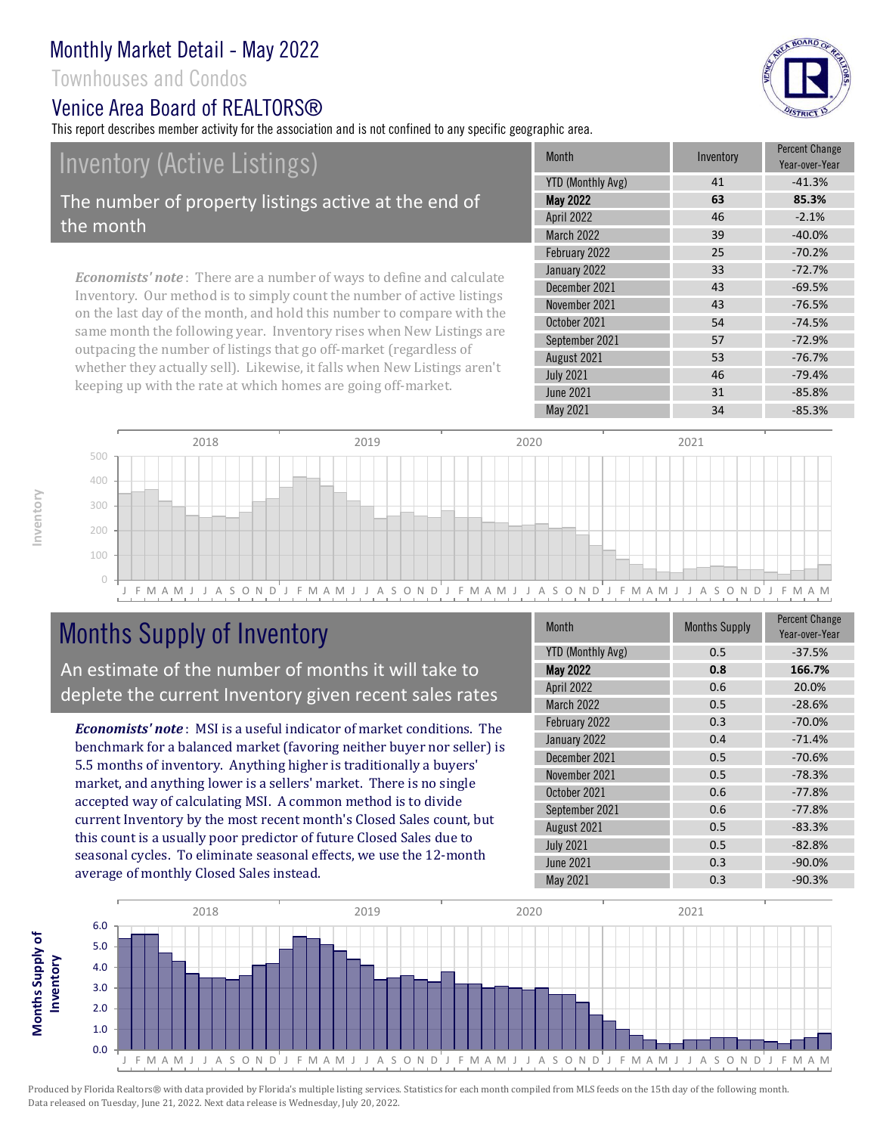Townhouses and Condos

### Venice Area Board of REALTORS®

This report describes member activity for the association and is not confined to any specific geographic area.

# Inventory (Active Listings)

The number of property listings active at the end of the month

*Economists' note* : There are a number of ways to define and calculate Inventory. Our method is to simply count the number of active listings on the last day of the month, and hold this number to compare with the same month the following year. Inventory rises when New Listings are outpacing the number of listings that go off-market (regardless of whether they actually sell). Likewise, it falls when New Listings aren't keeping up with the rate at which homes are going off-market.

| <b>Month</b>      | Inventory | <b>Percent Change</b><br>Year-over-Year |
|-------------------|-----------|-----------------------------------------|
| YTD (Monthly Avg) | 41        | $-41.3%$                                |
| May 2022          | 63        | 85.3%                                   |
| April 2022        | 46        | $-2.1%$                                 |
| March 2022        | 39        | $-40.0%$                                |
| February 2022     | 25        | $-70.2%$                                |
| January 2022      | 33        | $-72.7%$                                |
| December 2021     | 43        | $-69.5%$                                |
| November 2021     | 43        | $-76.5%$                                |
| October 2021      | 54        | $-74.5%$                                |
| September 2021    | 57        | $-72.9%$                                |
| August 2021       | 53        | $-76.7%$                                |
| <b>July 2021</b>  | 46        | $-79.4%$                                |
| <b>June 2021</b>  | 31        | $-85.8%$                                |
| May 2021          | 34        | $-85.3%$                                |



# Months Supply of Inventory

An estimate of the number of months it will take to deplete the current Inventory given recent sales rates

*Economists' note* : MSI is a useful indicator of market conditions. The benchmark for a balanced market (favoring neither buyer nor seller) is 5.5 months of inventory. Anything higher is traditionally a buyers' market, and anything lower is a sellers' market. There is no single accepted way of calculating MSI. A common method is to divide current Inventory by the most recent month's Closed Sales count, but this count is a usually poor predictor of future Closed Sales due to seasonal cycles. To eliminate seasonal effects, we use the 12-month average of monthly Closed Sales instead.

| <b>Month</b>             | <b>Months Supply</b> | <b>Percent Change</b><br>Year-over-Year |
|--------------------------|----------------------|-----------------------------------------|
| <b>YTD (Monthly Avg)</b> | 0.5                  | $-37.5%$                                |
| <b>May 2022</b>          | 0.8                  | 166.7%                                  |
| April 2022               | 0.6                  | 20.0%                                   |
| March 2022               | 0.5                  | $-28.6%$                                |
| February 2022            | 0.3                  | $-70.0%$                                |
| January 2022             | 0.4                  | $-71.4%$                                |
| December 2021            | 0.5                  | $-70.6%$                                |
| November 2021            | 0.5                  | $-78.3%$                                |
| October 2021             | 0.6                  | $-77.8%$                                |
| September 2021           | 0.6                  | $-77.8%$                                |
| August 2021              | 0.5                  | $-83.3%$                                |
| <b>July 2021</b>         | 0.5                  | $-82.8%$                                |
| June 2021                | 0.3                  | $-90.0%$                                |
| May 2021                 | 0.3                  | $-90.3%$                                |



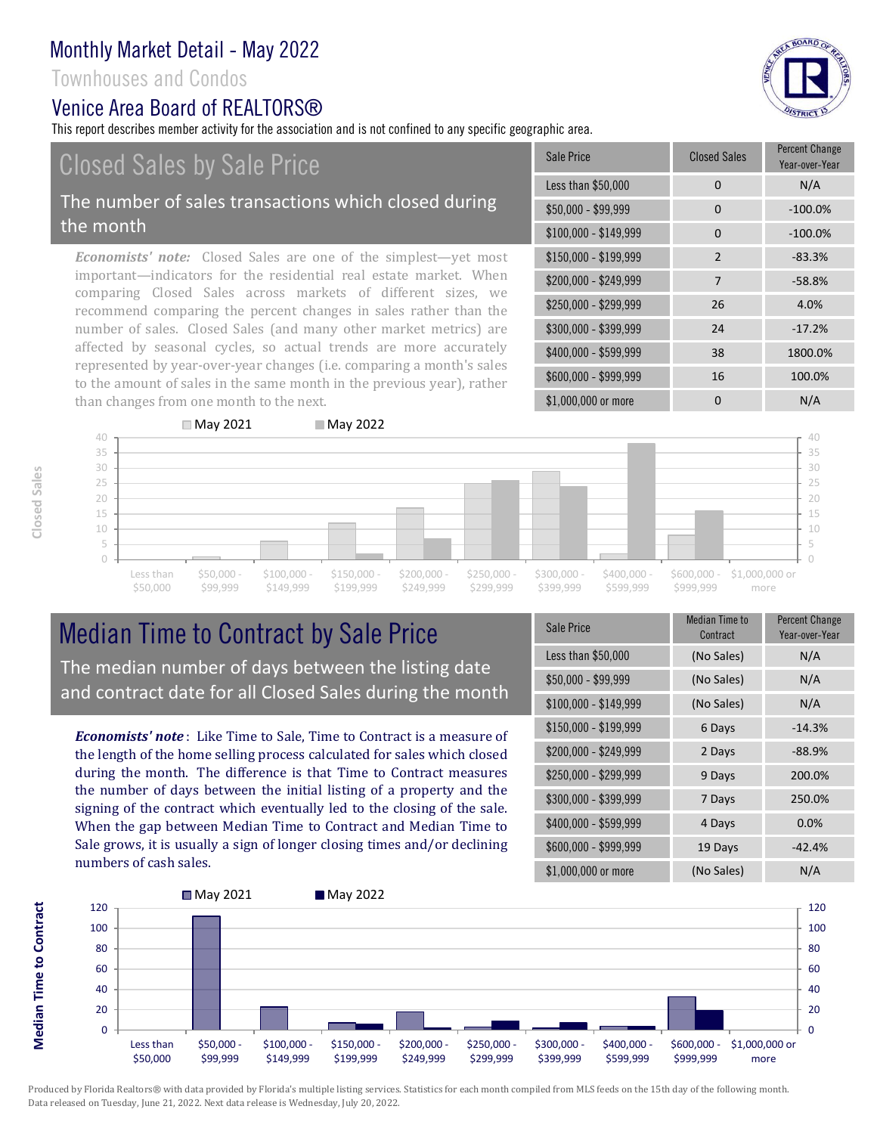### Townhouses and Condos

### Venice Area Board of REALTORS®

This report describes member activity for the association and is not confined to any specific geographic area.

# Closed Sales by Sale Price

#### The number of sales transactions which closed during the month

*Economists' note:* Closed Sales are one of the simplest—yet most important—indicators for the residential real estate market. When comparing Closed Sales across markets of different sizes, we recommend comparing the percent changes in sales rather than the number of sales. Closed Sales (and many other market metrics) are affected by seasonal cycles, so actual trends are more accurately represented by year-over-year changes (i.e. comparing a month's sales to the amount of sales in the same month in the previous year), rather than changes from one month to the next.

| Sale Price            | <b>Closed Sales</b> | <b>Percent Change</b><br>Year-over-Year |
|-----------------------|---------------------|-----------------------------------------|
| Less than \$50,000    | 0                   | N/A                                     |
| \$50,000 - \$99,999   | 0                   | $-100.0%$                               |
| $$100,000 - $149,999$ | 0                   | $-100.0%$                               |
| $$150,000 - $199,999$ | $\overline{2}$      | $-83.3%$                                |
| \$200,000 - \$249,999 | $\overline{7}$      | $-58.8%$                                |
| \$250,000 - \$299,999 | 26                  | 4.0%                                    |
| \$300,000 - \$399,999 | 24                  | $-17.2%$                                |
| \$400,000 - \$599,999 | 38                  | 1800.0%                                 |
| \$600,000 - \$999,999 | 16                  | 100.0%                                  |
| \$1,000,000 or more   | 0                   | N/A                                     |



# Median Time to Contract by Sale Price The median number of days between the listing date and contract date for all Closed Sales during the month

*Economists' note* : Like Time to Sale, Time to Contract is a measure of the length of the home selling process calculated for sales which closed during the month. The difference is that Time to Contract measures the number of days between the initial listing of a property and the signing of the contract which eventually led to the closing of the sale. When the gap between Median Time to Contract and Median Time to Sale grows, it is usually a sign of longer closing times and/or declining numbers of cash sales.

| Sale Price            | Median Time to<br>Contract | <b>Percent Change</b><br>Year-over-Year |
|-----------------------|----------------------------|-----------------------------------------|
| Less than \$50,000    | (No Sales)                 | N/A                                     |
| \$50,000 - \$99,999   | (No Sales)                 | N/A                                     |
| $$100,000 - $149,999$ | (No Sales)                 | N/A                                     |
| $$150,000 - $199,999$ | 6 Days                     | $-14.3%$                                |
| \$200,000 - \$249,999 | 2 Days                     | $-88.9%$                                |
| \$250,000 - \$299,999 | 9 Days                     | 200.0%                                  |
| \$300,000 - \$399,999 | 7 Days                     | 250.0%                                  |
| \$400,000 - \$599,999 | 4 Days                     | 0.0%                                    |
| \$600,000 - \$999,999 | 19 Days                    | $-42.4%$                                |
| \$1,000,000 or more   | (No Sales)                 | N/A                                     |



Produced by Florida Realtors® with data provided by Florida's multiple listing services. Statistics for each month compiled from MLS feeds on the 15th day of the following month. Data released on Tuesday, June 21, 2022. Next data release is Wednesday, July 20, 2022.

**Median Time to Contract Median Time to Contract**

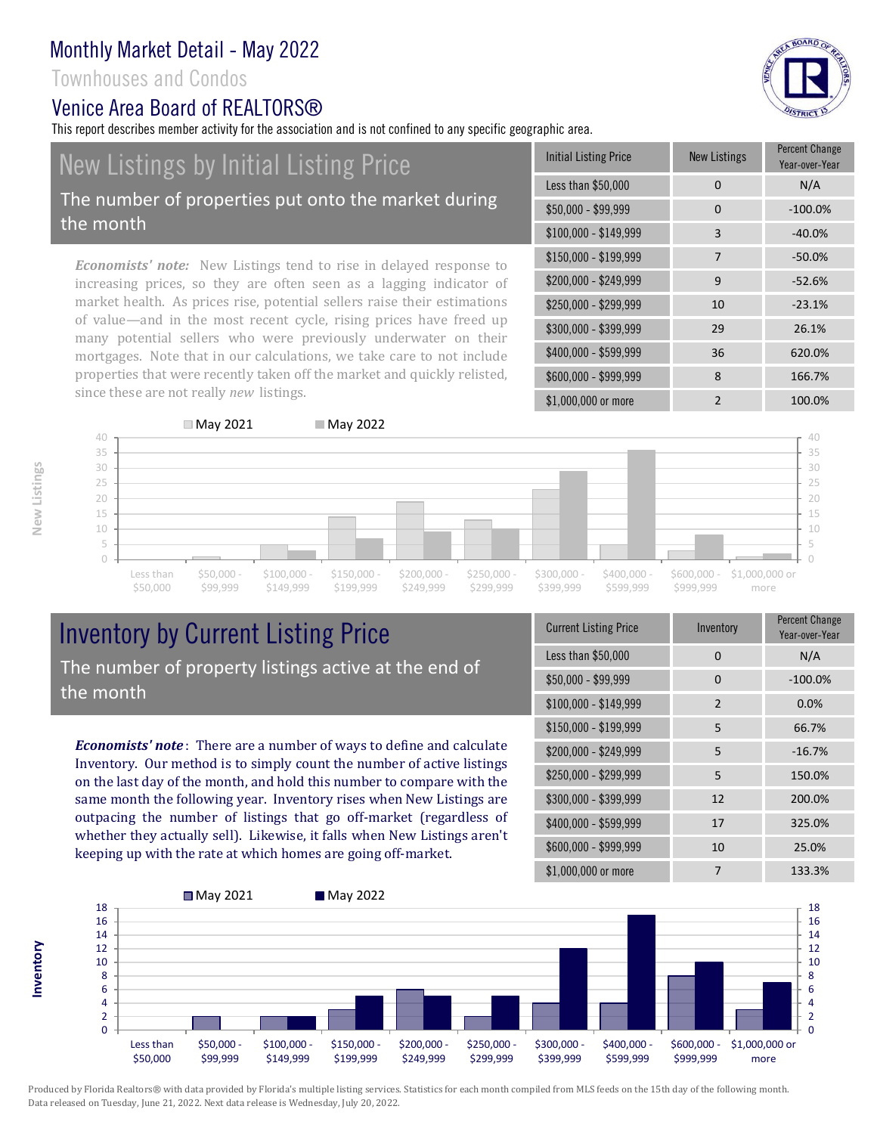### Townhouses and Condos

the month

### Venice Area Board of REALTORS®

New Listings by Initial Listing Price

since these are not really *new* listings.

This report describes member activity for the association and is not confined to any specific geographic area.



\$1,000,000 or more 2 100.0%

**New Listings**

**Inventory**



# Inventory by Current Listing Price The number of property listings active at the end of the month

*Economists' note* : There are a number of ways to define and calculate Inventory. Our method is to simply count the number of active listings on the last day of the month, and hold this number to compare with the same month the following year. Inventory rises when New Listings are outpacing the number of listings that go off-market (regardless of whether they actually sell). Likewise, it falls when New Listings aren't keeping up with the rate at which homes are going off-market.

| <b>Current Listing Price</b> | Inventory | Percent Change<br>Year-over-Year |
|------------------------------|-----------|----------------------------------|
| Less than \$50,000           | $\Omega$  | N/A                              |
| $$50,000 - $99,999$          | $\Omega$  | $-100.0%$                        |
| \$100,000 - \$149,999        | 2         | 0.0%                             |
| $$150,000 - $199,999$        | 5         | 66.7%                            |
| \$200,000 - \$249,999        | 5         | $-16.7%$                         |
| \$250,000 - \$299,999        | 5         | 150.0%                           |
| \$300,000 - \$399,999        | 12        | 200.0%                           |
| \$400,000 - \$599,999        | 17        | 325.0%                           |
| \$600,000 - \$999,999        | 10        | 25.0%                            |
| \$1,000,000 or more          | 7         | 133.3%                           |